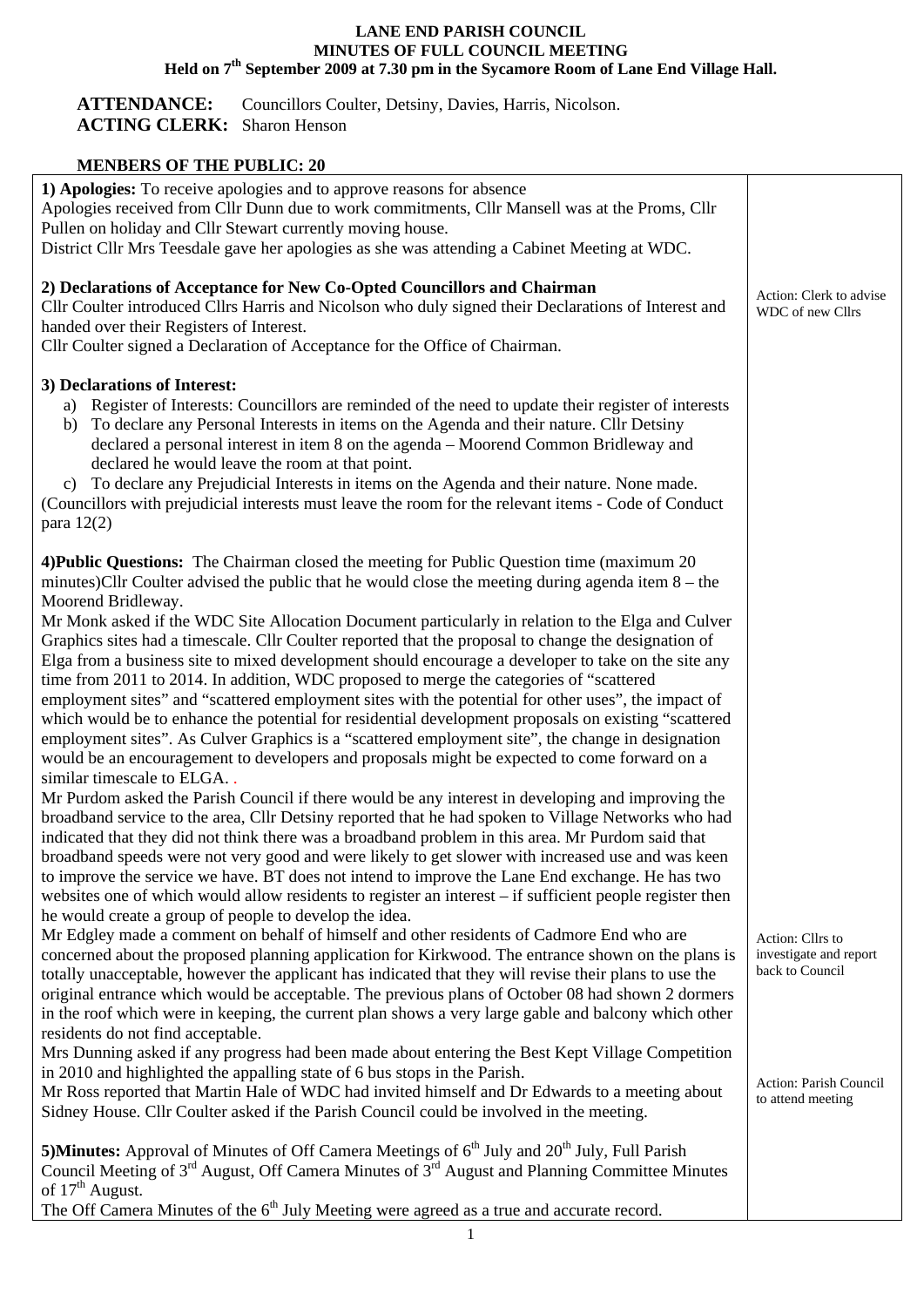## **LANE END PARISH COUNCIL MINUTES OF FULL COUNCIL MEETING Held on 7th September 2009 at 7.30 pm in the Sycamore Room of Lane End Village Hall.**

ATTENDANCE: Councillors Coulter, Detsiny, Davies, Harris, Nicolson. **ACTING CLERK:** Sharon Henson

## **MENBERS OF THE PUBLIC: 20**

| 1) Apologies: To receive apologies and to approve reasons for absence<br>Apologies received from Cllr Dunn due to work commitments, Cllr Mansell was at the Proms, Cllr                                                                                                                                                                                                                                                                                                                                                                                                                                                                                                                                                                                                                                                                                                                                                                                                                                                                                                                                                                                                                                                                                                                                                                                                                                                                                                                                                                                                                                                                                                                                                       |                                                                                                              |
|-------------------------------------------------------------------------------------------------------------------------------------------------------------------------------------------------------------------------------------------------------------------------------------------------------------------------------------------------------------------------------------------------------------------------------------------------------------------------------------------------------------------------------------------------------------------------------------------------------------------------------------------------------------------------------------------------------------------------------------------------------------------------------------------------------------------------------------------------------------------------------------------------------------------------------------------------------------------------------------------------------------------------------------------------------------------------------------------------------------------------------------------------------------------------------------------------------------------------------------------------------------------------------------------------------------------------------------------------------------------------------------------------------------------------------------------------------------------------------------------------------------------------------------------------------------------------------------------------------------------------------------------------------------------------------------------------------------------------------|--------------------------------------------------------------------------------------------------------------|
| Pullen on holiday and Cllr Stewart currently moving house.<br>District Cllr Mrs Teesdale gave her apologies as she was attending a Cabinet Meeting at WDC.                                                                                                                                                                                                                                                                                                                                                                                                                                                                                                                                                                                                                                                                                                                                                                                                                                                                                                                                                                                                                                                                                                                                                                                                                                                                                                                                                                                                                                                                                                                                                                    |                                                                                                              |
| 2) Declarations of Acceptance for New Co-Opted Councillors and Chairman<br>Cllr Coulter introduced Cllrs Harris and Nicolson who duly signed their Declarations of Interest and<br>handed over their Registers of Interest.<br>Cllr Coulter signed a Declaration of Acceptance for the Office of Chairman.                                                                                                                                                                                                                                                                                                                                                                                                                                                                                                                                                                                                                                                                                                                                                                                                                                                                                                                                                                                                                                                                                                                                                                                                                                                                                                                                                                                                                    | Action: Clerk to advise<br>WDC of new Cllrs                                                                  |
| 3) Declarations of Interest:<br>a) Register of Interests: Councillors are reminded of the need to update their register of interests<br>To declare any Personal Interests in items on the Agenda and their nature. Cllr Detsiny<br>b)<br>declared a personal interest in item 8 on the agenda – Moorend Common Bridleway and<br>declared he would leave the room at that point.<br>c) To declare any Prejudicial Interests in items on the Agenda and their nature. None made.<br>(Councillors with prejudicial interests must leave the room for the relevant items - Code of Conduct<br>para $12(2)$                                                                                                                                                                                                                                                                                                                                                                                                                                                                                                                                                                                                                                                                                                                                                                                                                                                                                                                                                                                                                                                                                                                        |                                                                                                              |
| 4) Public Questions: The Chairman closed the meeting for Public Question time (maximum 20)<br>minutes)Cllr Coulter advised the public that he would close the meeting during agenda item $8 -$ the<br>Moorend Bridleway.<br>Mr Monk asked if the WDC Site Allocation Document particularly in relation to the Elga and Culver<br>Graphics sites had a timescale. Cllr Coulter reported that the proposal to change the designation of<br>Elga from a business site to mixed development should encourage a developer to take on the site any<br>time from 2011 to 2014. In addition, WDC proposed to merge the categories of "scattered<br>employment sites" and "scattered employment sites with the potential for other uses", the impact of<br>which would be to enhance the potential for residential development proposals on existing "scattered<br>employment sites". As Culver Graphics is a "scattered employment site", the change in designation<br>would be an encouragement to developers and proposals might be expected to come forward on a<br>similar timescale to ELGA<br>Mr Purdom asked the Parish Council if there would be any interest in developing and improving the<br>broadband service to the area, Cllr Detsiny reported that he had spoken to Village Networks who had<br>indicated that they did not think there was a broadband problem in this area. Mr Purdom said that<br>broadband speeds were not very good and were likely to get slower with increased use and was keen<br>to improve the service we have. BT does not intend to improve the Lane End exchange. He has two<br>websites one of which would allow residents to register an interest – if sufficient people register then |                                                                                                              |
| he would create a group of people to develop the idea.<br>Mr Edgley made a comment on behalf of himself and other residents of Cadmore End who are<br>concerned about the proposed planning application for Kirkwood. The entrance shown on the plans is<br>totally unacceptable, however the applicant has indicated that they will revise their plans to use the<br>original entrance which would be acceptable. The previous plans of October 08 had shown 2 dormers<br>in the roof which were in keeping, the current plan shows a very large gable and balcony which other<br>residents do not find acceptable.<br>Mrs Dunning asked if any progress had been made about entering the Best Kept Village Competition<br>in 2010 and highlighted the appalling state of 6 bus stops in the Parish.<br>Mr Ross reported that Martin Hale of WDC had invited himself and Dr Edwards to a meeting about                                                                                                                                                                                                                                                                                                                                                                                                                                                                                                                                                                                                                                                                                                                                                                                                                       | Action: Cllrs to<br>investigate and report<br>back to Council<br>Action: Parish Council<br>to attend meeting |
| Sidney House. Cllr Coulter asked if the Parish Council could be involved in the meeting.<br><b>5)Minutes:</b> Approval of Minutes of Off Camera Meetings of $6th$ July and $20th$ July, Full Parish<br>Council Meeting of 3 <sup>rd</sup> August, Off Camera Minutes of 3 <sup>rd</sup> August and Planning Committee Minutes<br>of $17th$ August.<br>The Off Camera Minutes of the 6 <sup>th</sup> July Meeting were agreed as a true and accurate record.                                                                                                                                                                                                                                                                                                                                                                                                                                                                                                                                                                                                                                                                                                                                                                                                                                                                                                                                                                                                                                                                                                                                                                                                                                                                   |                                                                                                              |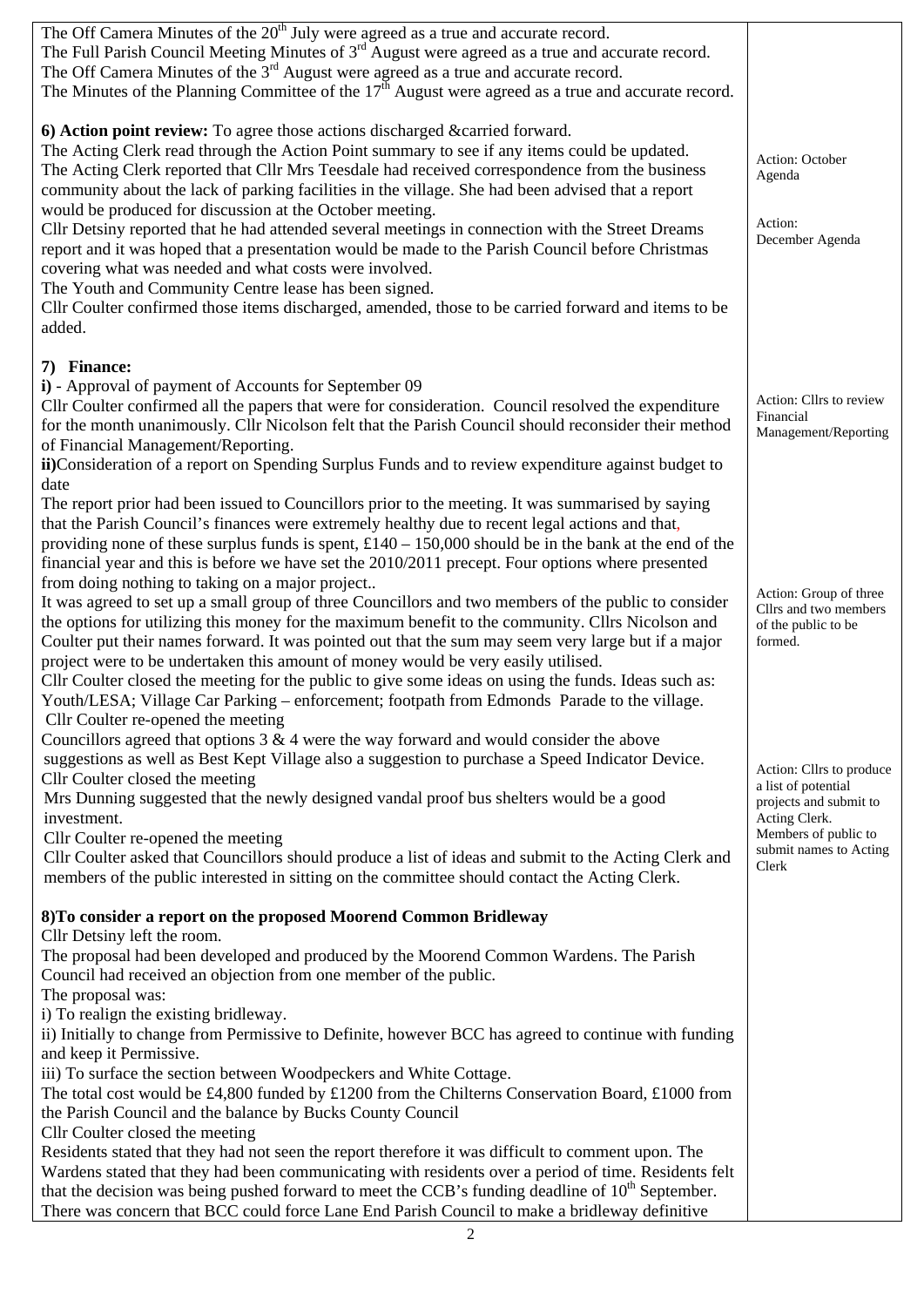| The Off Camera Minutes of the 20 <sup>th</sup> July were agreed as a true and accurate record.<br>The Full Parish Council Meeting Minutes of $3rd$ August were agreed as a true and accurate record.<br>The Off Camera Minutes of the $3rd$ August were agreed as a true and accurate record.<br>The Minutes of the Planning Committee of the $17th$ August were agreed as a true and accurate record.                                         |                                                              |
|------------------------------------------------------------------------------------------------------------------------------------------------------------------------------------------------------------------------------------------------------------------------------------------------------------------------------------------------------------------------------------------------------------------------------------------------|--------------------------------------------------------------|
|                                                                                                                                                                                                                                                                                                                                                                                                                                                |                                                              |
| 6) Action point review: To agree those actions discharged &carried forward.<br>The Acting Clerk read through the Action Point summary to see if any items could be updated.<br>The Acting Clerk reported that Cllr Mrs Teesdale had received correspondence from the business<br>community about the lack of parking facilities in the village. She had been advised that a report<br>would be produced for discussion at the October meeting. | Action: October<br>Agenda                                    |
| Cllr Detsiny reported that he had attended several meetings in connection with the Street Dreams<br>report and it was hoped that a presentation would be made to the Parish Council before Christmas<br>covering what was needed and what costs were involved.<br>The Youth and Community Centre lease has been signed.                                                                                                                        | Action:<br>December Agenda                                   |
| Cllr Coulter confirmed those items discharged, amended, those to be carried forward and items to be<br>added.                                                                                                                                                                                                                                                                                                                                  |                                                              |
| 7) Finance:                                                                                                                                                                                                                                                                                                                                                                                                                                    |                                                              |
| i) - Approval of payment of Accounts for September 09                                                                                                                                                                                                                                                                                                                                                                                          |                                                              |
| Cllr Coulter confirmed all the papers that were for consideration. Council resolved the expenditure<br>for the month unanimously. Cllr Nicolson felt that the Parish Council should reconsider their method<br>of Financial Management/Reporting.                                                                                                                                                                                              | Action: Cllrs to review<br>Financial<br>Management/Reporting |
| ii)Consideration of a report on Spending Surplus Funds and to review expenditure against budget to                                                                                                                                                                                                                                                                                                                                             |                                                              |
| date<br>The report prior had been issued to Councillors prior to the meeting. It was summarised by saying                                                                                                                                                                                                                                                                                                                                      |                                                              |
| that the Parish Council's finances were extremely healthy due to recent legal actions and that,                                                                                                                                                                                                                                                                                                                                                |                                                              |
| providing none of these surplus funds is spent, $£140 - 150,000$ should be in the bank at the end of the                                                                                                                                                                                                                                                                                                                                       |                                                              |
| financial year and this is before we have set the $2010/2011$ precept. Four options where presented<br>from doing nothing to taking on a major project                                                                                                                                                                                                                                                                                         |                                                              |
| It was agreed to set up a small group of three Councillors and two members of the public to consider                                                                                                                                                                                                                                                                                                                                           | Action: Group of three<br>Cllrs and two members              |
| the options for utilizing this money for the maximum benefit to the community. Cllrs Nicolson and                                                                                                                                                                                                                                                                                                                                              | of the public to be                                          |
| Coulter put their names forward. It was pointed out that the sum may seem very large but if a major                                                                                                                                                                                                                                                                                                                                            | formed.                                                      |
| project were to be undertaken this amount of money would be very easily utilised.<br>Cllr Coulter closed the meeting for the public to give some ideas on using the funds. Ideas such as:                                                                                                                                                                                                                                                      |                                                              |
| Youth/LESA; Village Car Parking - enforcement; footpath from Edmonds Parade to the village.                                                                                                                                                                                                                                                                                                                                                    |                                                              |
| Cllr Coulter re-opened the meeting                                                                                                                                                                                                                                                                                                                                                                                                             |                                                              |
| Councillors agreed that options $3 \& 4$ were the way forward and would consider the above<br>suggestions as well as Best Kept Village also a suggestion to purchase a Speed Indicator Device.                                                                                                                                                                                                                                                 |                                                              |
| Cllr Coulter closed the meeting                                                                                                                                                                                                                                                                                                                                                                                                                | Action: Cllrs to produce<br>a list of potential              |
| Mrs Dunning suggested that the newly designed vandal proof bus shelters would be a good                                                                                                                                                                                                                                                                                                                                                        | projects and submit to                                       |
| investment.<br>Cllr Coulter re-opened the meeting                                                                                                                                                                                                                                                                                                                                                                                              | Acting Clerk.<br>Members of public to                        |
| Cllr Coulter asked that Councillors should produce a list of ideas and submit to the Acting Clerk and                                                                                                                                                                                                                                                                                                                                          | submit names to Acting                                       |
| members of the public interested in sitting on the committee should contact the Acting Clerk.                                                                                                                                                                                                                                                                                                                                                  | Clerk                                                        |
| 8) To consider a report on the proposed Moorend Common Bridleway<br>Cllr Detsiny left the room.                                                                                                                                                                                                                                                                                                                                                |                                                              |
| The proposal had been developed and produced by the Moorend Common Wardens. The Parish<br>Council had received an objection from one member of the public.                                                                                                                                                                                                                                                                                     |                                                              |
| The proposal was:                                                                                                                                                                                                                                                                                                                                                                                                                              |                                                              |
| i) To realign the existing bridleway.<br>ii) Initially to change from Permissive to Definite, however BCC has agreed to continue with funding                                                                                                                                                                                                                                                                                                  |                                                              |
| and keep it Permissive.                                                                                                                                                                                                                                                                                                                                                                                                                        |                                                              |
| iii) To surface the section between Woodpeckers and White Cottage.                                                                                                                                                                                                                                                                                                                                                                             |                                                              |
| The total cost would be £4,800 funded by £1200 from the Chilterns Conservation Board, £1000 from                                                                                                                                                                                                                                                                                                                                               |                                                              |
| the Parish Council and the balance by Bucks County Council<br>Cllr Coulter closed the meeting                                                                                                                                                                                                                                                                                                                                                  |                                                              |
| Residents stated that they had not seen the report therefore it was difficult to comment upon. The                                                                                                                                                                                                                                                                                                                                             |                                                              |
| Wardens stated that they had been communicating with residents over a period of time. Residents felt                                                                                                                                                                                                                                                                                                                                           |                                                              |
| that the decision was being pushed forward to meet the CCB's funding deadline of 10 <sup>th</sup> September.                                                                                                                                                                                                                                                                                                                                   |                                                              |
| There was concern that BCC could force Lane End Parish Council to make a bridleway definitive                                                                                                                                                                                                                                                                                                                                                  |                                                              |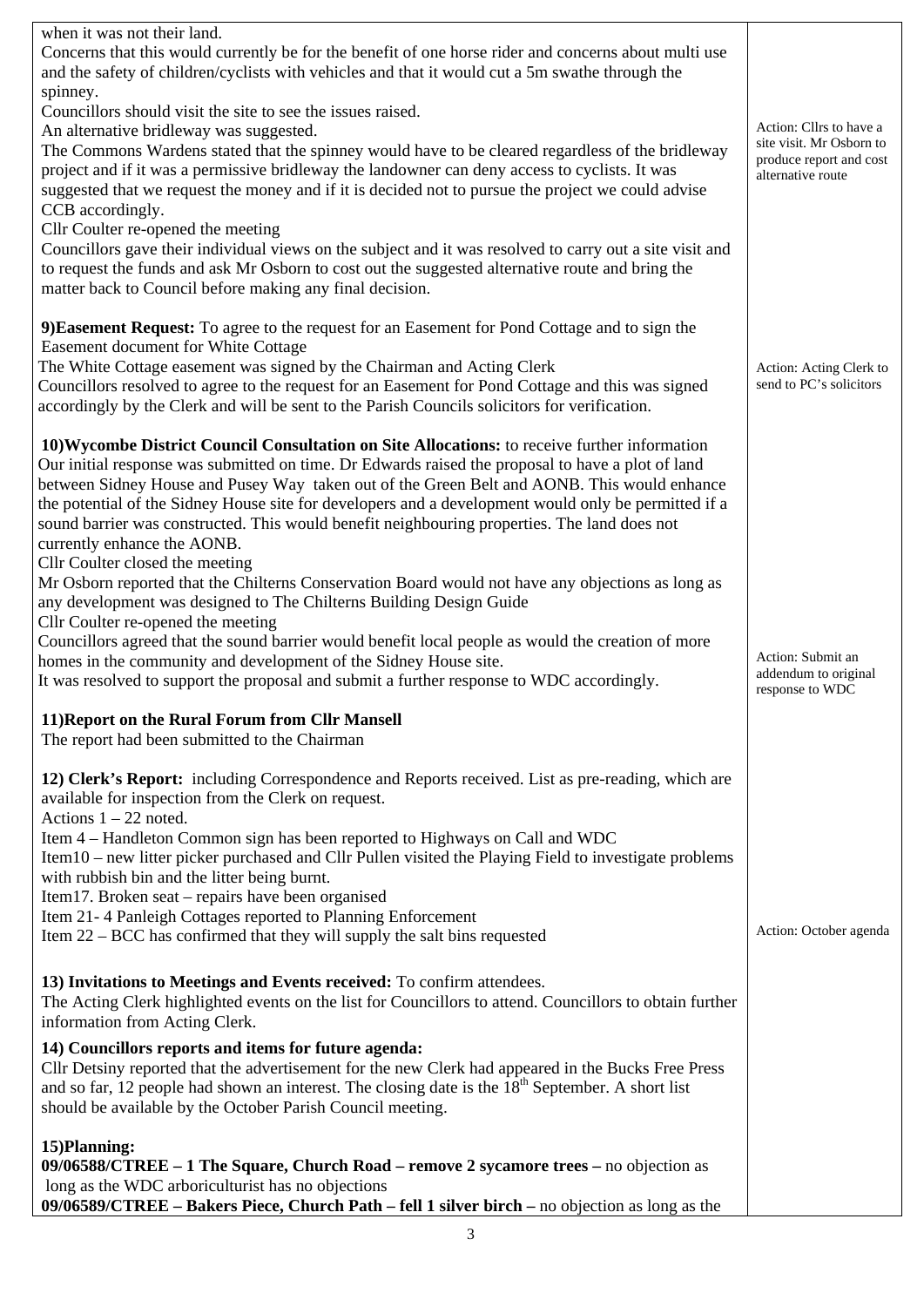| when it was not their land.<br>Concerns that this would currently be for the benefit of one horse rider and concerns about multi use<br>and the safety of children/cyclists with vehicles and that it would cut a 5m swathe through the                                                                                                                                                                                                                                                                                                                                                                                                                                                                                                                              |                                                                                                     |
|----------------------------------------------------------------------------------------------------------------------------------------------------------------------------------------------------------------------------------------------------------------------------------------------------------------------------------------------------------------------------------------------------------------------------------------------------------------------------------------------------------------------------------------------------------------------------------------------------------------------------------------------------------------------------------------------------------------------------------------------------------------------|-----------------------------------------------------------------------------------------------------|
| spinney.<br>Councillors should visit the site to see the issues raised.<br>An alternative bridleway was suggested.<br>The Commons Wardens stated that the spinney would have to be cleared regardless of the bridleway<br>project and if it was a permissive bridleway the landowner can deny access to cyclists. It was<br>suggested that we request the money and if it is decided not to pursue the project we could advise<br>CCB accordingly.<br>Cllr Coulter re-opened the meeting<br>Councillors gave their individual views on the subject and it was resolved to carry out a site visit and<br>to request the funds and ask Mr Osborn to cost out the suggested alternative route and bring the<br>matter back to Council before making any final decision. | Action: Cllrs to have a<br>site visit. Mr Osborn to<br>produce report and cost<br>alternative route |
| 9) Easement Request: To agree to the request for an Easement for Pond Cottage and to sign the<br>Easement document for White Cottage<br>The White Cottage easement was signed by the Chairman and Acting Clerk<br>Councillors resolved to agree to the request for an Easement for Pond Cottage and this was signed<br>accordingly by the Clerk and will be sent to the Parish Councils solicitors for verification.                                                                                                                                                                                                                                                                                                                                                 | Action: Acting Clerk to<br>send to PC's solicitors                                                  |
| 10) Wycombe District Council Consultation on Site Allocations: to receive further information<br>Our initial response was submitted on time. Dr Edwards raised the proposal to have a plot of land<br>between Sidney House and Pusey Way taken out of the Green Belt and AONB. This would enhance<br>the potential of the Sidney House site for developers and a development would only be permitted if a<br>sound barrier was constructed. This would benefit neighbouring properties. The land does not<br>currently enhance the AONB.                                                                                                                                                                                                                             |                                                                                                     |
| Cllr Coulter closed the meeting<br>Mr Osborn reported that the Chilterns Conservation Board would not have any objections as long as<br>any development was designed to The Chilterns Building Design Guide<br>Cllr Coulter re-opened the meeting                                                                                                                                                                                                                                                                                                                                                                                                                                                                                                                    |                                                                                                     |
| Councillors agreed that the sound barrier would benefit local people as would the creation of more<br>homes in the community and development of the Sidney House site.<br>It was resolved to support the proposal and submit a further response to WDC accordingly.                                                                                                                                                                                                                                                                                                                                                                                                                                                                                                  | Action: Submit an<br>addendum to original<br>response to WDC                                        |
| 11) Report on the Rural Forum from Cllr Mansell<br>The report had been submitted to the Chairman                                                                                                                                                                                                                                                                                                                                                                                                                                                                                                                                                                                                                                                                     |                                                                                                     |
| 12) Clerk's Report: including Correspondence and Reports received. List as pre-reading, which are<br>available for inspection from the Clerk on request.<br>Actions $1 - 22$ noted.                                                                                                                                                                                                                                                                                                                                                                                                                                                                                                                                                                                  |                                                                                                     |
| Item 4 – Handleton Common sign has been reported to Highways on Call and WDC<br>Item10 – new litter picker purchased and Cllr Pullen visited the Playing Field to investigate problems<br>with rubbish bin and the litter being burnt.<br>Item17. Broken seat – repairs have been organised                                                                                                                                                                                                                                                                                                                                                                                                                                                                          |                                                                                                     |
| Item 21-4 Panleigh Cottages reported to Planning Enforcement<br>Item 22 – BCC has confirmed that they will supply the salt bins requested                                                                                                                                                                                                                                                                                                                                                                                                                                                                                                                                                                                                                            | Action: October agenda                                                                              |
| 13) Invitations to Meetings and Events received: To confirm attendees.<br>The Acting Clerk highlighted events on the list for Councillors to attend. Councillors to obtain further<br>information from Acting Clerk.                                                                                                                                                                                                                                                                                                                                                                                                                                                                                                                                                 |                                                                                                     |
| 14) Councillors reports and items for future agenda:<br>Cllr Detsiny reported that the advertisement for the new Clerk had appeared in the Bucks Free Press<br>and so far, 12 people had shown an interest. The closing date is the 18 <sup>th</sup> September. A short list<br>should be available by the October Parish Council meeting.                                                                                                                                                                                                                                                                                                                                                                                                                           |                                                                                                     |
| 15) Planning:<br>$09/06588/CTREE - 1$ The Square, Church Road – remove 2 sycamore trees – no objection as                                                                                                                                                                                                                                                                                                                                                                                                                                                                                                                                                                                                                                                            |                                                                                                     |
| long as the WDC arboriculturist has no objections<br>09/06589/CTREE - Bakers Piece, Church Path - fell 1 silver birch - no objection as long as the                                                                                                                                                                                                                                                                                                                                                                                                                                                                                                                                                                                                                  |                                                                                                     |